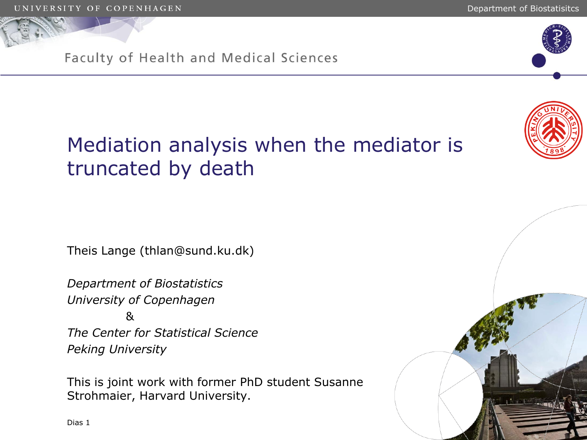

Theis Lange (thlan@sund.ku.dk)

*Department of Biostatistics University of Copenhagen*  & *The Center for Statistical Science Peking University*

This is joint work with former PhD student Susanne Strohmaier, Harvard University.

Dias 1





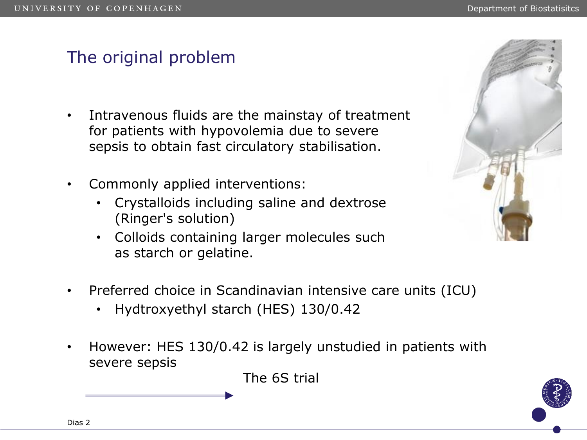# The original problem

- Intravenous fluids are the mainstay of treatment for patients with hypovolemia due to severe sepsis to obtain fast circulatory stabilisation.
- Commonly applied interventions:
	- Crystalloids including saline and dextrose (Ringer's solution)
	- Colloids containing larger molecules such as starch or gelatine.



- Preferred choice in Scandinavian intensive care units (ICU)
	- Hydtroxyethyl starch (HES) 130/0.42
- However: HES 130/0.42 is largely unstudied in patients with severe sepsis

The 6S trial

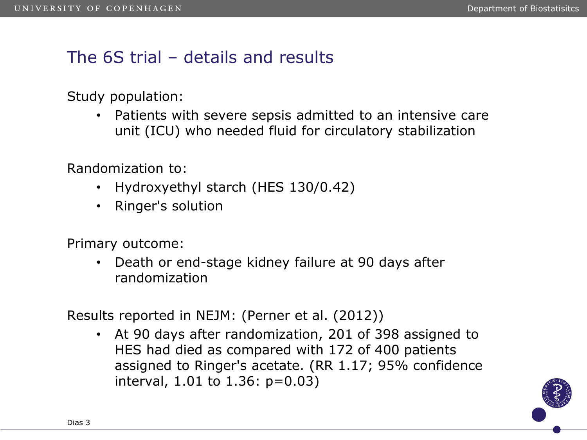# The 6S trial – details and results

Study population:

• Patients with severe sepsis admitted to an intensive care unit (ICU) who needed fluid for circulatory stabilization

Randomization to:

- Hydroxyethyl starch (HES 130/0.42)
- Ringer's solution

Primary outcome:

• Death or end-stage kidney failure at 90 days after randomization

Results reported in NEJM: (Perner et al. (2012))

• At 90 days after randomization, 201 of 398 assigned to HES had died as compared with 172 of 400 patients assigned to Ringer's acetate. (RR 1.17; 95% confidence interval, 1.01 to 1.36: p=0.03)

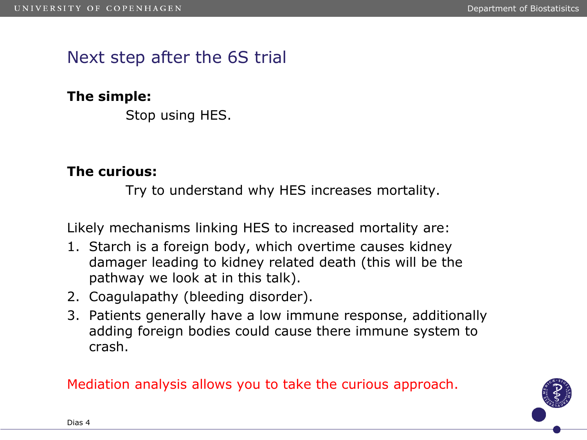## Next step after the 6S trial

#### **The simple:**

Stop using HES.

#### **The curious:**

Try to understand why HES increases mortality.

Likely mechanisms linking HES to increased mortality are:

- 1. Starch is a foreign body, which overtime causes kidney damager leading to kidney related death (this will be the pathway we look at in this talk).
- 2. Coagulapathy (bleeding disorder).
- 3. Patients generally have a low immune response, additionally adding foreign bodies could cause there immune system to crash.

Mediation analysis allows you to take the curious approach.

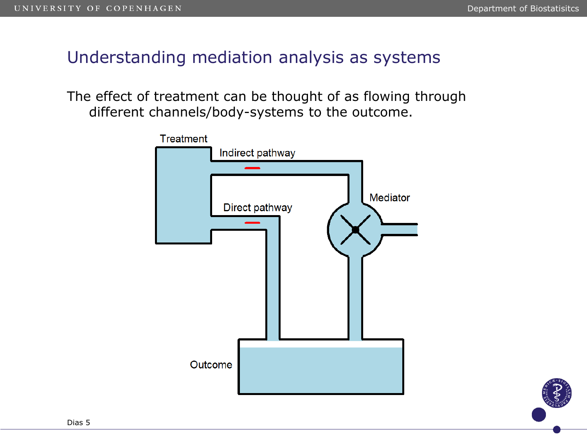## Understanding mediation analysis as systems

The effect of treatment can be thought of as flowing through different channels/body-systems to the outcome.

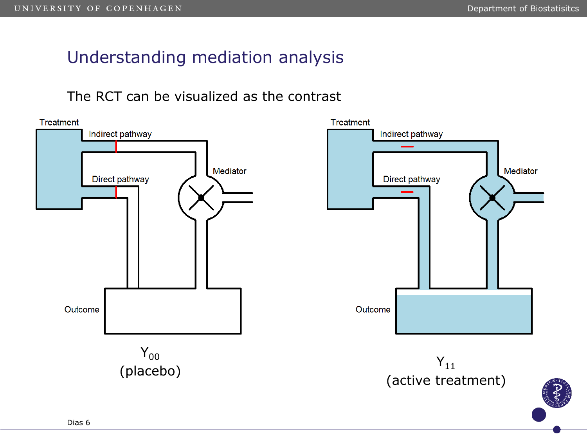# Understanding mediation analysis

The RCT can be visualized as the contrast

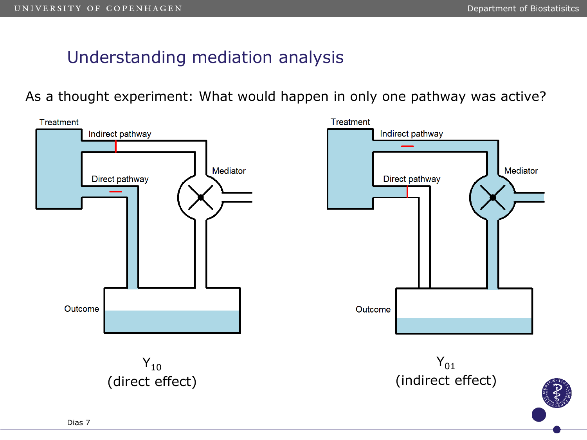# Understanding mediation analysis

As a thought experiment: What would happen in only one pathway was active?

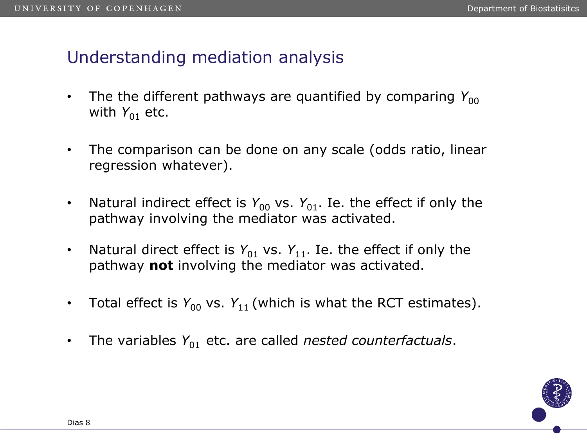# Understanding mediation analysis

- The the different pathways are quantified by comparing  $Y_{00}$ with  $Y_{01}$  etc.
- The comparison can be done on any scale (odds ratio, linear regression whatever).
- Natural indirect effect is  $Y_{00}$  vs.  $Y_{01}$ . Ie. the effect if only the pathway involving the mediator was activated.
- Natural direct effect is  $Y_{01}$  vs.  $Y_{11}$ . Ie. the effect if only the pathway **not** involving the mediator was activated.
- Total effect is  $Y_{00}$  vs.  $Y_{11}$  (which is what the RCT estimates).
- The variables  $Y_{01}$  etc. are called *nested counterfactuals*.

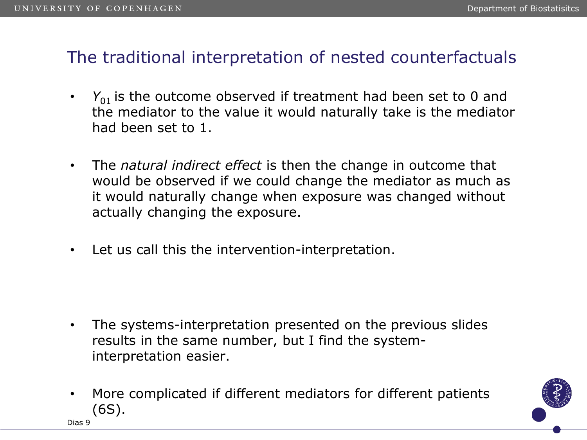## The traditional interpretation of nested counterfactuals

- $\cdot$   $Y_{01}$  is the outcome observed if treatment had been set to 0 and the mediator to the value it would naturally take is the mediator had been set to 1.
- The *natural indirect effect* is then the change in outcome that would be observed if we could change the mediator as much as it would naturally change when exposure was changed without actually changing the exposure.
- Let us call this the intervention-interpretation.

- The systems-interpretation presented on the previous slides results in the same number, but I find the systeminterpretation easier.
- More complicated if different mediators for different patients (6S).

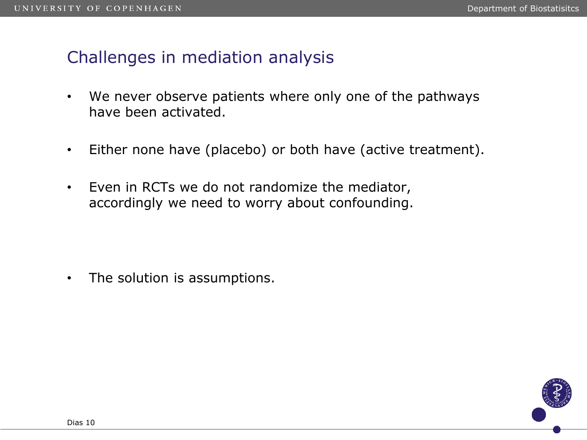### Challenges in mediation analysis

- We never observe patients where only one of the pathways have been activated.
- Either none have (placebo) or both have (active treatment).
- Even in RCTs we do not randomize the mediator, accordingly we need to worry about confounding.

• The solution is assumptions.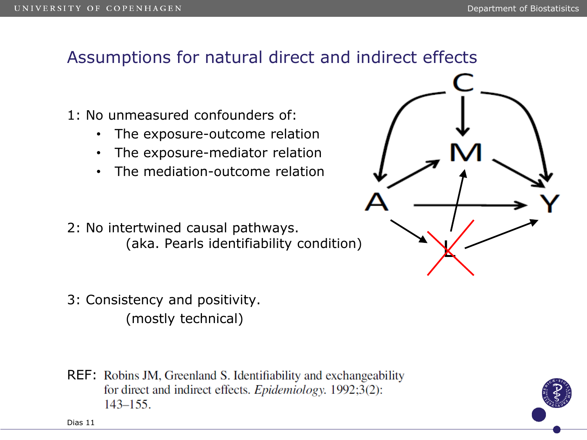# Assumptions for natural direct and indirect effects

- 1: No unmeasured confounders of:
	- The exposure-outcome relation
	- The exposure-mediator relation
	- The mediation-outcome relation
- 2: No intertwined causal pathways. (aka. Pearls identifiability condition)
- 3: Consistency and positivity. (mostly technical)
- **REF:** Robins JM, Greenland S. Identifiability and exchangeability for direct and indirect effects. *Epidemiology*. 1992;3(2):  $143 - 155$ .



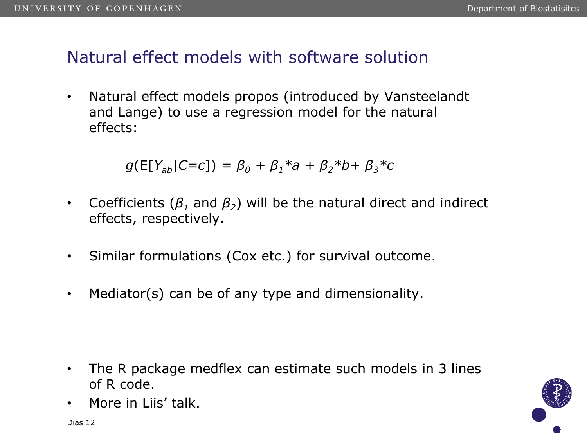### Natural effect models with software solution

• Natural effect models propos (introduced by Vansteelandt and Lange) to use a regression model for the natural effects:

 $g(E[Y_{ab}|C=c]) = \beta_0 + \beta_1 * a + \beta_2 * b + \beta_3 * c$ 

- Coefficients (*β<sup>1</sup>* and *β<sup>2</sup>* ) will be the natural direct and indirect effects, respectively.
- Similar formulations (Cox etc.) for survival outcome.
- Mediator(s) can be of any type and dimensionality.

- The R package medflex can estimate such models in 3 lines of R code.
- More in Liis' talk.

Dias 12

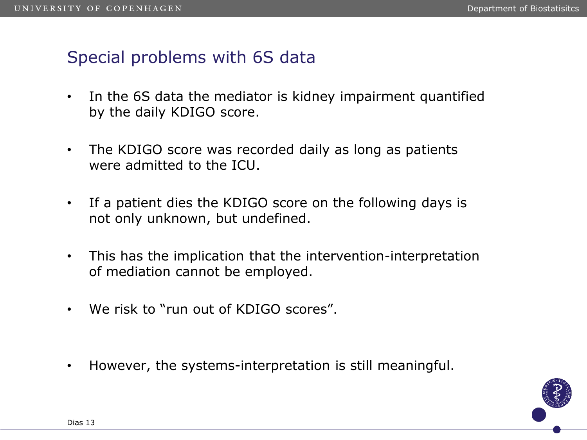## Special problems with 6S data

- In the 6S data the mediator is kidney impairment quantified by the daily KDIGO score.
- The KDIGO score was recorded daily as long as patients were admitted to the ICU.
- If a patient dies the KDIGO score on the following days is not only unknown, but undefined.
- This has the implication that the intervention-interpretation of mediation cannot be employed.
- We risk to "run out of KDIGO scores".
- However, the systems-interpretation is still meaningful.

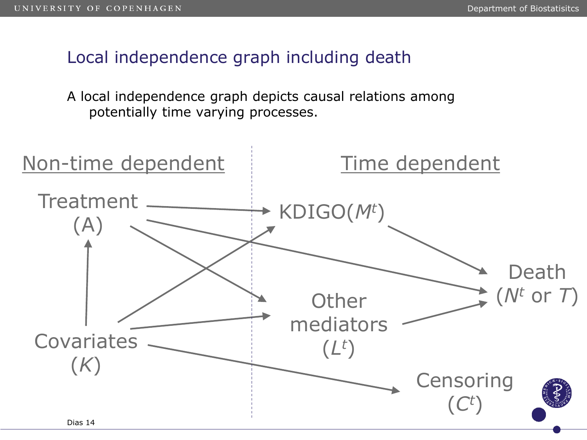Local independence graph including death

A local independence graph depicts causal relations among potentially time varying processes.

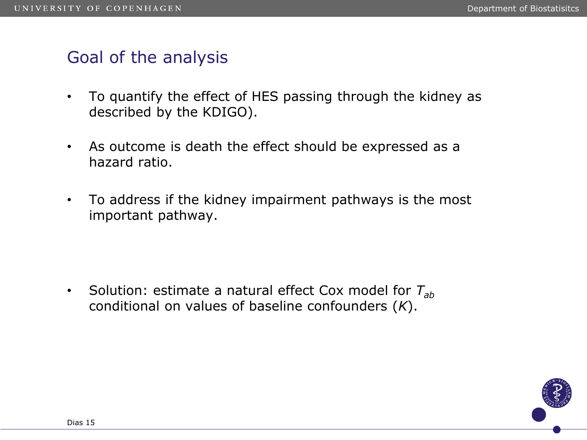#### Goal of the analysis

- To quantify the effect of HES passing through the kidney as described by the KDIGO).
- As outcome is death the effect should be expressed as a hazard ratio.
- To address if the kidney impairment pathways is the most important pathway.

• Solution: estimate a natural effect Cox model for *Tab* conditional on values of baseline confounders (*K*).

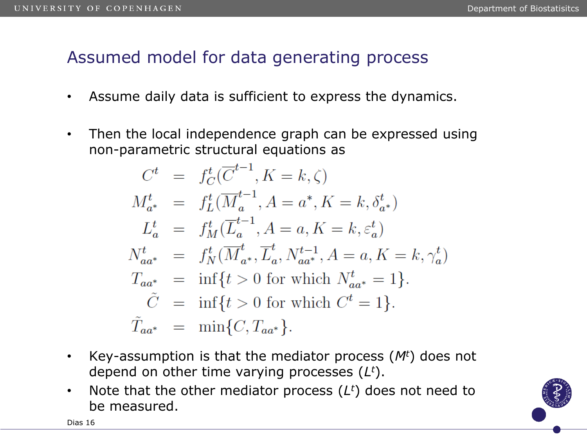# Assumed model for data generating process

- Assume daily data is sufficient to express the dynamics.
- Then the local independence graph can be expressed using non-parametric structural equations as

$$
C^{t} = f_{C}^{t}(\overline{C}^{t-1}, K = k, \zeta)
$$
  
\n
$$
M_{a^{*}}^{t} = f_{L}^{t}(\overline{M}_{a}^{t-1}, A = a^{*}, K = k, \delta_{a^{*}}^{t})
$$
  
\n
$$
L_{a}^{t} = f_{M}^{t}(\overline{L}_{a}^{t-1}, A = a, K = k, \varepsilon_{a}^{t})
$$
  
\n
$$
N_{aa^{*}}^{t} = f_{N}^{t}(\overline{M}_{a^{*}}^{t}, \overline{L}_{a}^{t}, N_{aa^{*}}^{t-1}, A = a, K = k, \gamma_{a}^{t})
$$
  
\n
$$
T_{aa^{*}} = \inf\{t > 0 \text{ for which } N_{aa^{*}}^{t} = 1\}.
$$
  
\n
$$
\tilde{C} = \inf\{t > 0 \text{ for which } C^{t} = 1\}.
$$
  
\n
$$
\tilde{T}_{aa^{*}} = \min\{C, T_{aa^{*}}\}.
$$

- Key-assumption is that the mediator process (*M<sup>t</sup>*) does not depend on other time varying processes (*L <sup>t</sup>*).
- Note that the other mediator process (*L <sup>t</sup>*) does not need to be measured.

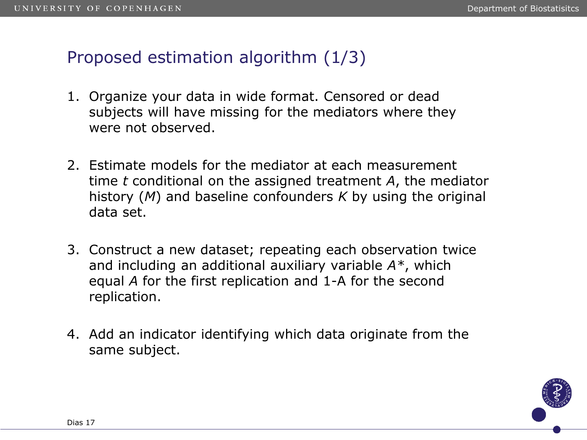## Proposed estimation algorithm (1/3)

- 1. Organize your data in wide format. Censored or dead subjects will have missing for the mediators where they were not observed.
- 2. Estimate models for the mediator at each measurement time *t* conditional on the assigned treatment *A*, the mediator history (*M*) and baseline confounders *K* by using the original data set.
- 3. Construct a new dataset; repeating each observation twice and including an additional auxiliary variable *A\**, which equal *A* for the first replication and 1-A for the second replication.
- 4. Add an indicator identifying which data originate from the same subject.

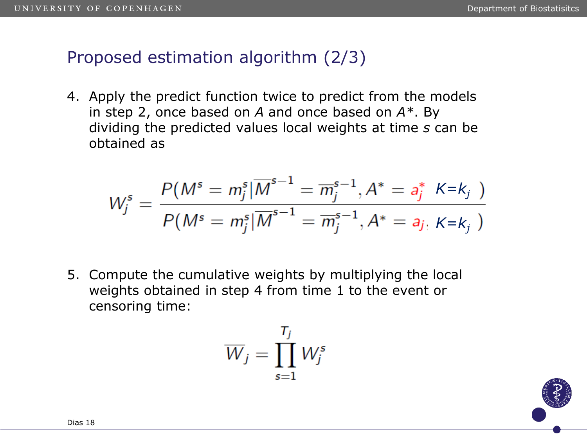### Proposed estimation algorithm (2/3)

4. Apply the predict function twice to predict from the models in step 2, once based on *A* and once based on *A\**. By dividing the predicted values local weights at time *s* can be obtained as

$$
W_j^s = \frac{P(M^s = m_j^s | \overline{M}^{s-1} = \overline{m}_j^{s-1}, A^* = a_j^* \; K = k_j \; )}{P(M^s = m_j^s | \overline{M}^{s-1} = \overline{m}_j^{s-1}, A^* = a_j \; K = k_j \; )}
$$

5. Compute the cumulative weights by multiplying the local weights obtained in step 4 from time 1 to the event or censoring time:

$$
\overline{W}_j = \prod_{s=1}^{T_j} W_j^s
$$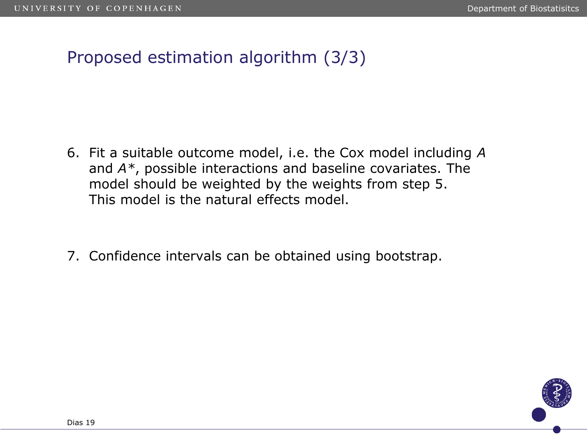# Proposed estimation algorithm (3/3)

- 6. Fit a suitable outcome model, i.e. the Cox model including *A* and *A\**, possible interactions and baseline covariates. The model should be weighted by the weights from step 5. This model is the natural effects model.
- 7. Confidence intervals can be obtained using bootstrap.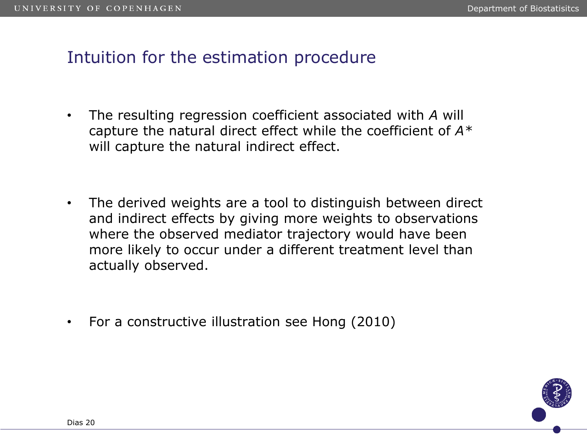# Intuition for the estimation procedure

- The resulting regression coefficient associated with *A* will capture the natural direct effect while the coefficient of *A\** will capture the natural indirect effect.
- The derived weights are a tool to distinguish between direct and indirect effects by giving more weights to observations where the observed mediator trajectory would have been more likely to occur under a different treatment level than actually observed.
- For a constructive illustration see Hong (2010)

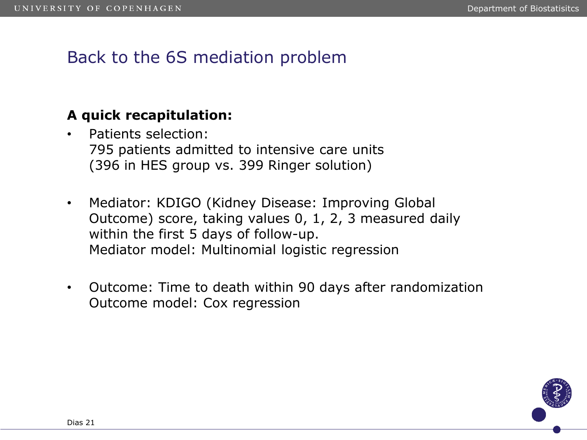# Back to the 6S mediation problem

#### **A quick recapitulation:**

- Patients selection: 795 patients admitted to intensive care units (396 in HES group vs. 399 Ringer solution)
- Mediator: KDIGO (Kidney Disease: Improving Global Outcome) score, taking values 0, 1, 2, 3 measured daily within the first 5 days of follow-up. Mediator model: Multinomial logistic regression
- Outcome: Time to death within 90 days after randomization Outcome model: Cox regression

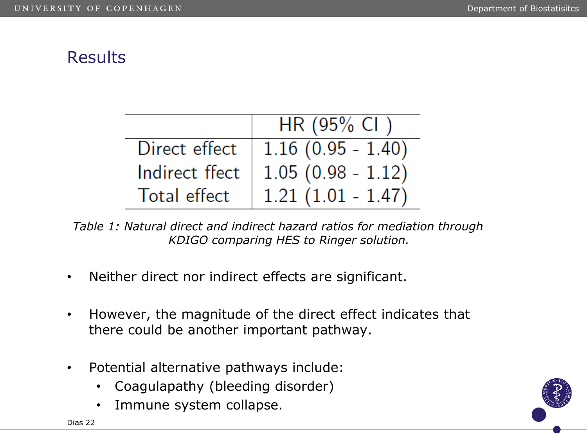# **Results**

|                | $HR(95\% CI)$       |
|----------------|---------------------|
| Direct effect  | $1.16(0.95 - 1.40)$ |
| Indirect ffect | $1.05(0.98 - 1.12)$ |
| Total effect   | $1.21(1.01 - 1.47)$ |

*Table 1: Natural direct and indirect hazard ratios for mediation through KDIGO comparing HES to Ringer solution.* 

- Neither direct nor indirect effects are significant.
- However, the magnitude of the direct effect indicates that there could be another important pathway.
- Potential alternative pathways include:
	- Coagulapathy (bleeding disorder)
	- Immune system collapse.

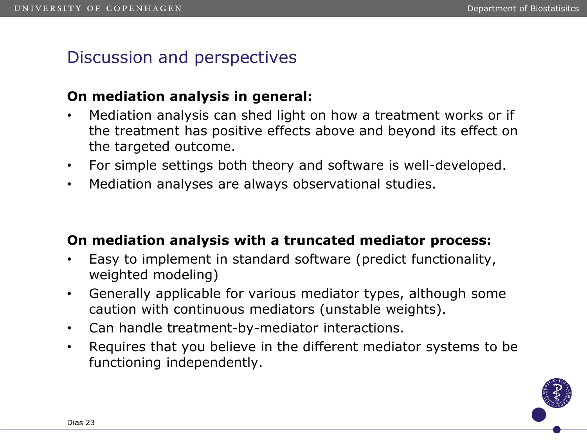# Discussion and perspectives

#### **On mediation analysis in general:**

- Mediation analysis can shed light on how a treatment works or if the treatment has positive effects above and beyond its effect on the targeted outcome.
- For simple settings both theory and software is well-developed.
- Mediation analyses are always observational studies.

#### **On mediation analysis with a truncated mediator process:**

- Easy to implement in standard software (predict functionality, weighted modeling)
- Generally applicable for various mediator types, although some caution with continuous mediators (unstable weights).
- Can handle treatment-by-mediator interactions.
- Requires that you believe in the different mediator systems to be functioning independently.